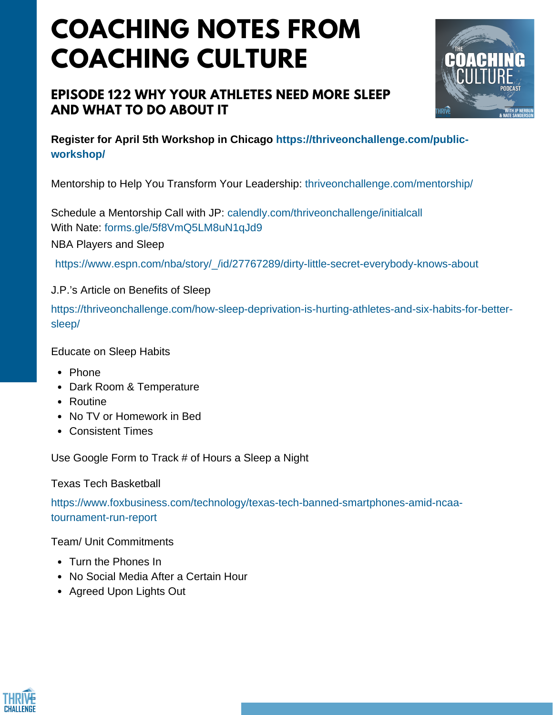# **COACHING NOTES FROM COACHING CULTURE**

## **EPISODE 122 WHY YOUR ATHLETES NEED MORE SLEEP AND WHAT TO DO ABOUT IT**



**Register for April 5th Workshop in Chicago https://thriveonchallenge.com/publicworkshop/**

Mentorship to Help You Transform Your Leadership: thriveonchallenge.com/mentorship/

Schedule a Mentorship Call with JP: calendly.com/thriveonchallenge/initialcall With Nate: forms.gle/5f8VmO5LM8uN1qJd9 NBA Players and Sleep

https://www.espn.com/nba/story/\_/id/27767289/dirty-little-secret-everybody-knows-about

#### J.P.'s Article on Benefits of Sleep

https://thriveonchallenge.com/how-sleep-deprivation-is-hurting-athletes-and-six-habits-for-bettersleep/

Educate on Sleep Habits

- Phone
- Dark Room & Temperature
- Routine
- No TV or Homework in Bed
- Consistent Times

Use Google Form to Track # of Hours a Sleep a Night

Texas Tech Basketball

https://www.foxbusiness.com/technology/texas-tech-banned-smartphones-amid-ncaatournament-run-report

Team/ Unit Commitments

- Turn the Phones In
- No Social Media After a Certain Hour
- Agreed Upon Lights Out